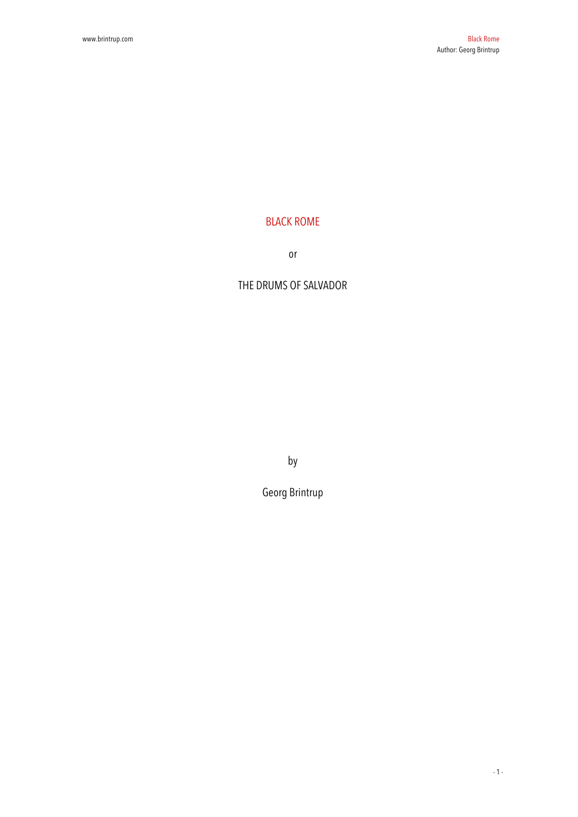## BLACK ROME

or

## THE DRUMS OF SALVADOR

by

Georg Brintrup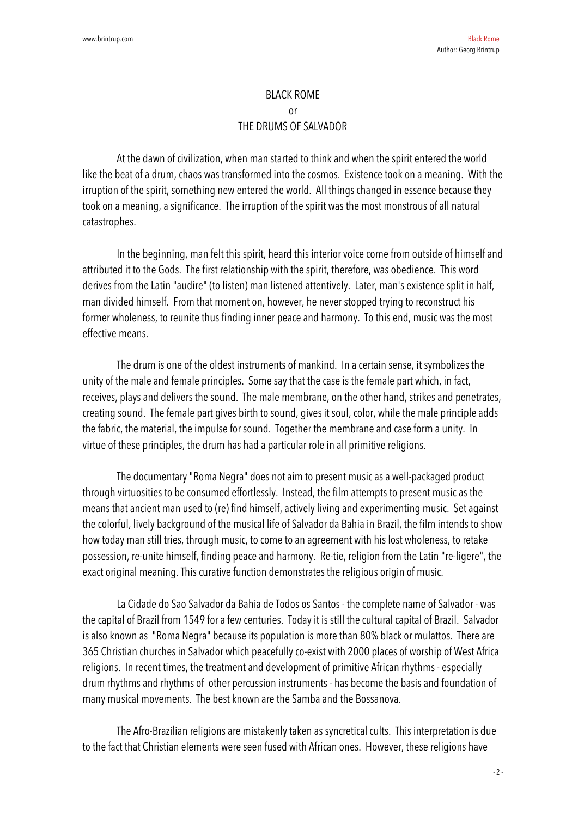## BLACK ROME or THE DRUMS OF SALVADOR

At the dawn of civilization, when man started to think and when the spirit entered the world like the beat of a drum, chaos was transformed into the cosmos. Existence took on a meaning. With the irruption of the spirit, something new entered the world. All things changed in essence because they took on a meaning, a significance. The irruption of the spirit was the most monstrous of all natural catastrophes.

In the beginning, man felt this spirit, heard this interior voice come from outside of himself and attributed it to the Gods. The first relationship with the spirit, therefore, was obedience. This word derives from the Latin "audire" (to listen) man listened attentively. Later, man's existence split in half, man divided himself. From that moment on, however, he never stopped trying to reconstruct his former wholeness, to reunite thus finding inner peace and harmony. To this end, music was the most effective means.

The drum is one of the oldest instruments of mankind. In a certain sense, it symbolizes the unity of the male and female principles. Some say that the case is the female part which, in fact, receives, plays and delivers the sound. The male membrane, on the other hand, strikes and penetrates, creating sound. The female part gives birth to sound, gives it soul, color, while the male principle adds the fabric, the material, the impulse for sound. Together the membrane and case form a unity. In virtue of these principles, the drum has had a particular role in all primitive religions.

The documentary "Roma Negra" does not aim to present music as a well-packaged product through virtuosities to be consumed effortlessly. Instead, the film attempts to present music as the means that ancient man used to (re) find himself, actively living and experimenting music. Set against the colorful, lively background of the musical life of Salvador da Bahia in Brazil, the film intends to show how today man still tries, through music, to come to an agreement with his lost wholeness, to retake possession, re-unite himself, finding peace and harmony. Re-tie, religion from the Latin "re-ligere", the exact original meaning. This curative function demonstrates the religious origin of music.

La Cidade do Sao Salvador da Bahia de Todos os Santos - the complete name of Salvador - was the capital of Brazil from 1549 for a few centuries. Today it is still the cultural capital of Brazil. Salvador is also known as "Roma Negra" because its population is more than 80% black or mulattos. There are 365 Christian churches in Salvador which peacefully co-exist with 2000 places of worship of West Africa religions. In recent times, the treatment and development of primitive African rhythms - especially drum rhythms and rhythms of other percussion instruments - has become the basis and foundation of many musical movements. The best known are the Samba and the Bossanova.

The Afro-Brazilian religions are mistakenly taken as syncretical cults. This interpretation is due to the fact that Christian elements were seen fused with African ones. However, these religions have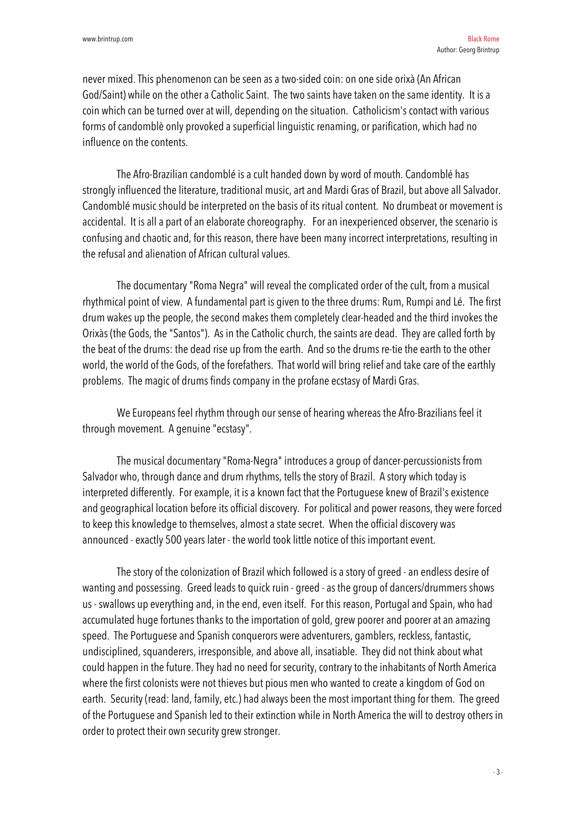never mixed. This phenomenon can be seen as a two-sided coin: on one side orixà (An African God/Saint) while on the other a Catholic Saint. The two saints have taken on the same identity. It is a coin which can be turned over at will, depending on the situation. Catholicism's contact with various forms of candomblè only provoked a superficial linguistic renaming, or parification, which had no influence on the contents.

The Afro-Brazilian candomblé is a cult handed down by word of mouth. Candomblé has strongly influenced the literature, traditional music, art and Mardi Gras of Brazil, but above all Salvador. Candomblé music should be interpreted on the basis of its ritual content. No drumbeat or movement is accidental. It is all a part of an elaborate choreography. For an inexperienced observer, the scenario is confusing and chaotic and, for this reason, there have been many incorrect interpretations, resulting in the refusal and alienation of African cultural values.

The documentary "Roma Negra" will reveal the complicated order of the cult, from a musical rhythmical point of view. A fundamental part is given to the three drums: Rum, Rumpi and Lé. The first drum wakes up the people, the second makes them completely clear-headed and the third invokes the Orixàs (the Gods, the "Santos"). As in the Catholic church, the saints are dead. They are called forth by the beat of the drums: the dead rise up from the earth. And so the drums re-tie the earth to the other world, the world of the Gods, of the forefathers. That world will bring relief and take care of the earthly problems. The magic of drums finds company in the profane ecstasy of Mardi Gras.

We Europeans feel rhythm through our sense of hearing whereas the Afro-Brazilians feel it through movement. A genuine "ecstasy".

The musical documentary "Roma-Negra" introduces a group of dancer-percussionists from Salvador who, through dance and drum rhythms, tells the story of Brazil. A story which today is interpreted differently. For example, it is a known fact that the Portuguese knew of Brazil's existence and geographical location before its official discovery. For political and power reasons, they were forced to keep this knowledge to themselves, almost a state secret. When the official discovery was announced - exactly 500 years later - the world took little notice of this important event.

The story of the colonization of Brazil which followed is a story of greed - an endless desire of wanting and possessing. Greed leads to quick ruin - greed - as the group of dancers/drummers shows us - swallows up everything and, in the end, even itself. For this reason, Portugal and Spain, who had accumulated huge fortunes thanks to the importation of gold, grew poorer and poorer at an amazing speed. The Portuguese and Spanish conquerors were adventurers, gamblers, reckless, fantastic, undisciplined, squanderers, irresponsible, and above all, insatiable. They did not think about what could happen in the future. They had no need for security, contrary to the inhabitants of North America where the first colonists were not thieves but pious men who wanted to create a kingdom of God on earth. Security (read: land, family, etc.) had always been the most important thing for them. The greed of the Portuguese and Spanish led to their extinction while in North America the will to destroy others in order to protect their own security grew stronger.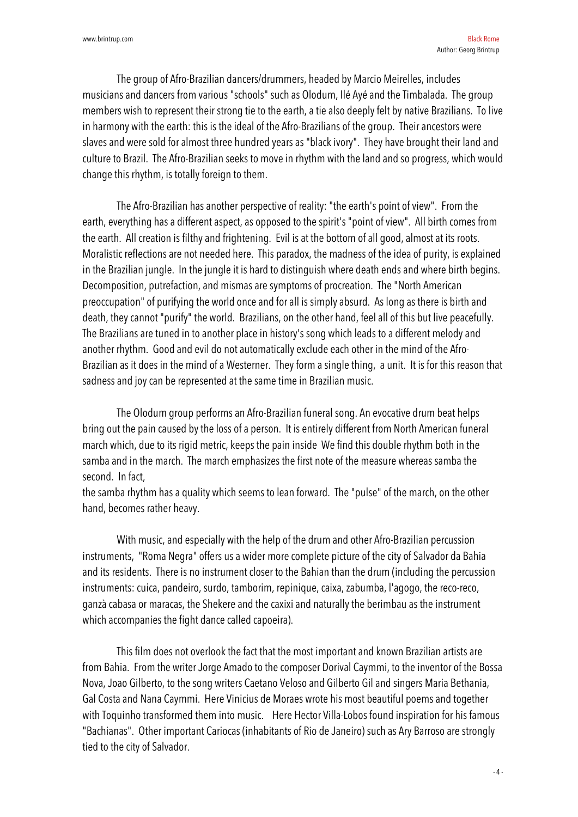The group of Afro-Brazilian dancers/drummers, headed by Marcio Meirelles, includes musicians and dancers from various "schools" such as Olodum, Ilé Ayé and the Timbalada. The group members wish to represent their strong tie to the earth, a tie also deeply felt by native Brazilians. To live in harmony with the earth: this is the ideal of the Afro-Brazilians of the group. Their ancestors were slaves and were sold for almost three hundred years as "black ivory". They have brought their land and culture to Brazil. The Afro-Brazilian seeks to move in rhythm with the land and so progress, which would change this rhythm, is totally foreign to them.

The Afro-Brazilian has another perspective of reality: "the earth's point of view". From the earth, everything has a different aspect, as opposed to the spirit's "point of view". All birth comes from the earth. All creation is filthy and frightening. Evil is at the bottom of all good, almost at its roots. Moralistic reflections are not needed here. This paradox, the madness of the idea of purity, is explained in the Brazilian jungle. In the jungle it is hard to distinguish where death ends and where birth begins. Decomposition, putrefaction, and mismas are symptoms of procreation. The "North American preoccupation" of purifying the world once and for all is simply absurd. As long as there is birth and death, they cannot "purify" the world. Brazilians, on the other hand, feel all of this but live peacefully. The Brazilians are tuned in to another place in history's song which leads to a different melody and another rhythm. Good and evil do not automatically exclude each other in the mind of the Afro-Brazilian as it does in the mind of a Westerner. They form a single thing, a unit. It is for this reason that sadness and joy can be represented at the same time in Brazilian music.

The Olodum group performs an Afro-Brazilian funeral song. An evocative drum beat helps bring out the pain caused by the loss of a person. It is entirely different from North American funeral march which, due to its rigid metric, keeps the pain inside We find this double rhythm both in the samba and in the march. The march emphasizes the first note of the measure whereas samba the second. In fact,

the samba rhythm has a quality which seems to lean forward. The "pulse" of the march, on the other hand, becomes rather heavy.

With music, and especially with the help of the drum and other Afro-Brazilian percussion instruments, "Roma Negra" offers us a wider more complete picture of the city of Salvador da Bahia and its residents. There is no instrument closer to the Bahian than the drum (including the percussion instruments: cuica, pandeiro, surdo, tamborim, repinique, caixa, zabumba, l'agogo, the reco-reco, ganzà cabasa or maracas, the Shekere and the caxixi and naturally the berimbau as the instrument which accompanies the fight dance called capoeira).

This film does not overlook the fact that the most important and known Brazilian artists are from Bahia. From the writer Jorge Amado to the composer Dorival Caymmi, to the inventor of the Bossa Nova, Joao Gilberto, to the song writers Caetano Veloso and Gilberto Gil and singers Maria Bethania, Gal Costa and Nana Caymmi. Here Vinicius de Moraes wrote his most beautiful poems and together with Toquinho transformed them into music. Here Hector Villa-Lobos found inspiration for his famous "Bachianas". Other important Cariocas (inhabitants of Rio de Janeiro) such as Ary Barroso are strongly tied to the city of Salvador.